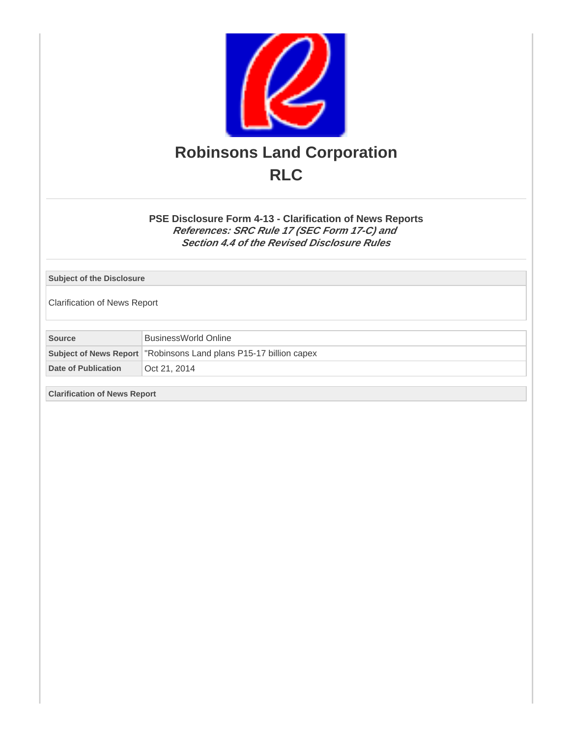

## **PSE Disclosure Form 4-13 - Clarification of News Reports References: SRC Rule 17 (SEC Form 17-C) and Section 4.4 of the Revised Disclosure Rules**

## **Subject of the Disclosure**

Clarification of News Report

**Source** BusinessWorld Online **Subject of News Report** "Robinsons Land plans P15-17 billion capex

Date of Publication **Oct 21, 2014** 

**Clarification of News Report**